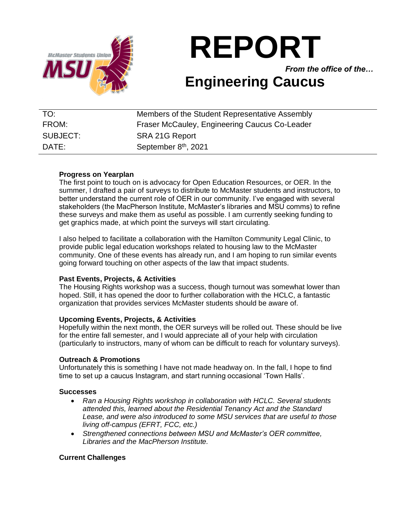

# **REPORT**

*From the office of the…*

## **Engineering Caucus**

| TO:               | Members of the Student Representative Assembly |
|-------------------|------------------------------------------------|
| FROM:             | Fraser McCauley, Engineering Caucus Co-Leader  |
| SUBJECT:          | SRA 21G Report                                 |
| $\mathsf{DATF}$ : | September 8 <sup>th</sup> , 2021               |

#### **Progress on Yearplan**

The first point to touch on is advocacy for Open Education Resources, or OER. In the summer, I drafted a pair of surveys to distribute to McMaster students and instructors, to better understand the current role of OER in our community. I've engaged with several stakeholders (the MacPherson Institute, McMaster's libraries and MSU comms) to refine these surveys and make them as useful as possible. I am currently seeking funding to get graphics made, at which point the surveys will start circulating.

I also helped to facilitate a collaboration with the Hamilton Community Legal Clinic, to provide public legal education workshops related to housing law to the McMaster community. One of these events has already run, and I am hoping to run similar events going forward touching on other aspects of the law that impact students.

### **Past Events, Projects, & Activities**

The Housing Rights workshop was a success, though turnout was somewhat lower than hoped. Still, it has opened the door to further collaboration with the HCLC, a fantastic organization that provides services McMaster students should be aware of.

#### **Upcoming Events, Projects, & Activities**

Hopefully within the next month, the OER surveys will be rolled out. These should be live for the entire fall semester, and I would appreciate all of your help with circulation (particularly to instructors, many of whom can be difficult to reach for voluntary surveys).

#### **Outreach & Promotions**

Unfortunately this is something I have not made headway on. In the fall, I hope to find time to set up a caucus Instagram, and start running occasional 'Town Halls'.

#### **Successes**

- *Ran a Housing Rights workshop in collaboration with HCLC. Several students attended this, learned about the Residential Tenancy Act and the Standard Lease, and were also introduced to some MSU services that are useful to those living off-campus (EFRT, FCC, etc.)*
- *Strengthened connections between MSU and McMaster's OER committee, Libraries and the MacPherson Institute.*

#### **Current Challenges**